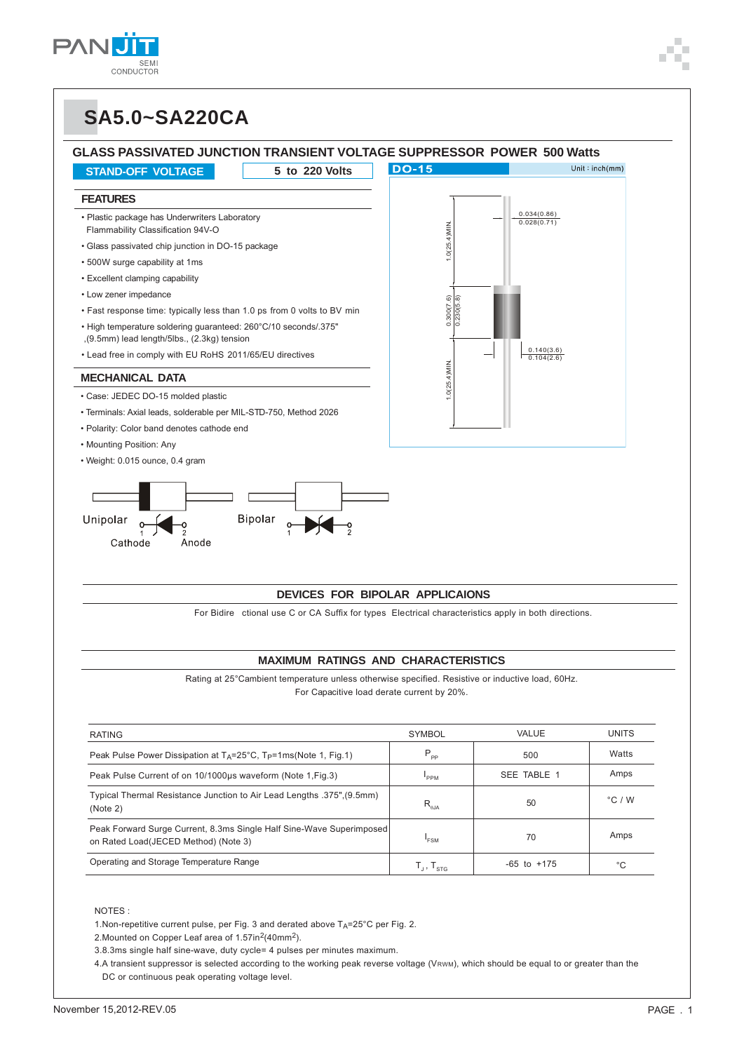

### **GLASS PASSIVATED JUNCTION TRANSIENT VOLTAGE SUPPRESSOR POWER 500 Watts**

**STAND-OFF VOLTAGE 5 to 220 Volts**

#### **FEATURES**

- Plastic package has Underwriters Laboratory Flammability Classification 94V-O
- Glass passivated chip junction in DO-15 package
- 500W surge capability at 1ms
- Excellent clamping capability
- Low zener impedance
- Fast response time: typically less than 1.0 ps from 0 volts to BV min
- High temperature soldering guaranteed: 260°C/10 seconds/.375" ,(9.5mm) lead length/5lbs., (2.3kg) tension
- Lead free in comply with EU RoHS 2011/65/EU directives

#### **MECHANICAL DATA**

- Case: JEDEC DO-15 molded plastic
- Terminals: Axial leads, solderable per MIL-STD-750, Method 2026
- Polarity: Color band denotes cathode end
- Mounting Position: Any
- Weight: 0.015 ounce, 0.4 gram





#### **DEVICES FOR BIPOLAR APPLICAIONS**

For Bidire ctional use C or CA Suffix for types Electrical characteristics apply in both directions.

#### **MAXIMUM RATINGS AND CHARACTERISTICS**

Rating at 25°Cambient temperature unless otherwise specified. Resistive or inductive load, 60Hz. For Capacitive load derate current by 20%.

| <b>RATING</b>                                                                                                | <b>SYMBOL</b>                                   | VALUE           | <b>UNITS</b>     |
|--------------------------------------------------------------------------------------------------------------|-------------------------------------------------|-----------------|------------------|
| Peak Pulse Power Dissipation at $T_A = 25^{\circ}C$ , $T_P = 1 \text{ms}$ (Note 1, Fig.1)                    | $P_{\rm pp}$                                    | 500             | Watts            |
| Peak Pulse Current of on 10/1000µs waveform (Note 1, Fig. 3)                                                 | PPM                                             | SEE TABLE 1     | Amps             |
| Typical Thermal Resistance Junction to Air Lead Lengths .375". (9.5mm)<br>(Note 2)                           | $R_{a,\text{IA}}$                               | 50              | $^{\circ}$ C / W |
| Peak Forward Surge Current, 8.3ms Single Half Sine-Wave Superimposed<br>on Rated Load(JECED Method) (Note 3) | 'FSM                                            | 70              | Amps             |
| Operating and Storage Temperature Range                                                                      | $\mathsf{T}_\mathsf{J},\mathsf{T}_\mathsf{STG}$ | $-65$ to $+175$ | °С               |

#### NOTES :

1. Non-repetitive current pulse, per Fig. 3 and derated above  $T_A = 25^{\circ}$ C per Fig. 2.

2. Mounted on Copper Leaf area of 1.57in<sup>2</sup>(40mm<sup>2</sup>).

3.8.3ms single half sine-wave, duty cycle= 4 pulses per minutes maximum.

4.A transient suppressor is selected according to the working peak reverse voltage (VRWM), which should be equal to or greater than the DC or continuous peak operating voltage level.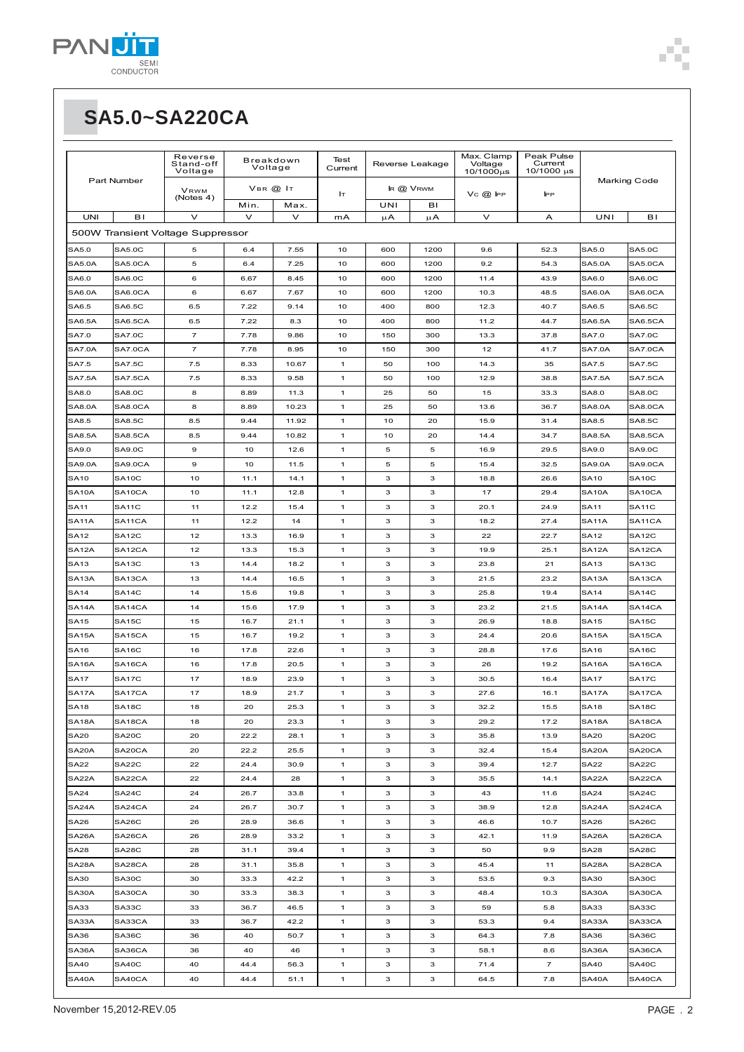| Part Number        |                     | Reverse<br>Stand-off<br>Voltage   | Breakdown<br>Voltage |        | Test<br>Current | Reverse Leakage |         | Max. Clamp<br>Voltage<br>10/1000us | Peak Pulse<br>Current<br>10/1000 µs | <b>Marking Code</b> |                    |
|--------------------|---------------------|-----------------------------------|----------------------|--------|-----------------|-----------------|---------|------------------------------------|-------------------------------------|---------------------|--------------------|
|                    |                     | <b>VRWM</b><br>(Notes 4)          | VBR @ IT             |        | Iт              | IR @ VRWM       |         | $VC$ $@$ IPP                       | <b>IPP</b>                          |                     |                    |
|                    |                     |                                   | Min.                 | Max.   |                 | UNI             | BI      |                                    |                                     |                     |                    |
| <b>UNI</b>         | B <sub>I</sub>      | $\vee$                            | $\vee$               | $\vee$ | mA              | $\mu$ A         | $\mu$ A | v                                  | A                                   | UNI                 | вı                 |
|                    |                     | 500W Transient Voltage Suppressor |                      |        |                 |                 |         |                                    |                                     |                     |                    |
| SA5.0              | <b>SA5.0C</b>       | 5                                 | 6.4                  | 7.55   | 10              | 600             | 1200    | 9.6                                | 52.3                                | SA5.0               | <b>SA5.0C</b>      |
| <b>SA5.0A</b>      | SA5.0CA             | 5                                 | 6.4                  | 7.25   | 10              | 600             | 1200    | 9.2                                | 54.3                                | <b>SA5.0A</b>       | SA5.0CA            |
| SA6.0              | SA6.0C              | 6                                 | 6.67                 | 8.45   | 10              | 600             | 1200    | 11.4                               | 43.9                                | SA6.0               | <b>SA6.0C</b>      |
| <b>SA6.0A</b>      | SA6.0CA             | 6                                 | 6.67                 | 7.67   | 10              | 600             | 1200    | 10.3                               | 48.5                                | SA6.0A              | SA6.0CA            |
| SA6.5              | <b>SA6.5C</b>       | 6.5                               | 7.22                 | 9.14   | 10              | 400             | 800     | 12.3                               | 40.7                                | SA6.5               | <b>SA6.5C</b>      |
| <b>SA6.5A</b>      | SA6.5CA             | 6.5                               | 7.22                 | 8.3    | 10              | 400             | 800     | 11.2                               | 44.7                                | SA6.5A              | SA6.5CA            |
| SA7.0              | <b>SA7.0C</b>       | 7                                 | 7.78                 | 9.86   | 10              | 150             | 300     | 13.3                               | 37.8                                | SA7.0               | <b>SA7.0C</b>      |
| <b>SA7.0A</b>      | SA7.0CA             | $\overline{7}$                    | 7.78                 | 8.95   | 10              | 150             | 300     | 12                                 | 41.7                                | <b>SA7.0A</b>       | SA7.0CA            |
| SA7.5              | <b>SA7.5C</b>       | 7.5                               | 8.33                 | 10.67  | 1               | 50              | 100     | 14.3                               | 35                                  | SA7.5               | <b>SA7.5C</b>      |
| <b>SA7.5A</b>      | SA7.5CA             | 7.5                               | 8.33                 | 9.58   | $\mathbf{1}$    | 50              | 100     | 12.9                               | 38.8                                | <b>SA7.5A</b>       | SA7.5CA            |
| SA8.0              | <b>SA8.0C</b>       | 8                                 | 8.89                 | 11.3   | 1               | 25              | 50      | 15                                 | 33.3                                | SA8.0               | <b>SA8.0C</b>      |
| SA8.0A             | SA8.0CA             | 8                                 | 8.89                 | 10.23  | $\mathbf{1}$    | 25              | 50      | 13.6                               | 36.7                                | SA8.0A              | SA8.0CA            |
| SA8.5              | SA8.5C              | 8.5                               | 9.44                 | 11.92  | 1               | 10              | 20      | 15.9                               | 31.4                                | SA8.5               | <b>SA8.5C</b>      |
| <b>SA8.5A</b>      | SA8.5CA             | 8.5                               | 9.44                 | 10.82  | 1               | 10              | 20      | 14.4                               | 34.7                                | SA8.5A              | <b>SA8.5CA</b>     |
| SA9.0              | <b>SA9.0C</b>       | 9                                 | 10                   | 12.6   | $\mathbf{1}$    | 5               | 5       | 16.9                               | 29.5                                | SA9.0               | <b>SA9.0C</b>      |
| <b>SA9.0A</b>      | SA9.0CA             | 9                                 | 10                   | 11.5   | 1               | 5               | 5       | 15.4                               | 32.5                                | <b>SA9.0A</b>       | SA9.0CA            |
| <b>SA10</b>        | SA <sub>10</sub> C  | 10                                | 11.1                 | 14.1   | $\mathbf{1}$    | з               | 3       | 18.8                               | 26.6                                | <b>SA10</b>         | SA <sub>10</sub> C |
| SA <sub>10</sub> A | SA10CA              | 10                                | 11.1                 | 12.8   | 1               | з               | 3       | 17                                 | 29.4                                | SA <sub>10</sub> A  | SA10CA             |
| <b>SA11</b>        | SA <sub>11</sub> C  | 11                                | 12.2                 | 15.4   | 1               | 3               | 3       | 20.1                               | 24.9                                | SA11                | SA <sub>11</sub> C |
| SA <sub>11</sub> A | SA <sub>11</sub> CA | 11                                | 12.2                 | 14     | 1               | з               | 3       | 18.2                               | 27.4                                | SA11A               | SA11CA             |
| <b>SA12</b>        | SA <sub>12C</sub>   | 12                                | 13.3                 | 16.9   | $\mathbf{1}$    | з               | 3       | 22                                 | 22.7                                | <b>SA12</b>         | SA <sub>12C</sub>  |
| SA <sub>12</sub> A | SA12CA              | 12                                | 13.3                 | 15.3   | 1               | з               | 3       | 19.9                               | 25.1                                | SA12A               | SA12CA             |
| <b>SA13</b>        | SA13C               | 13                                | 14.4                 | 18.2   | 1               | з               | 3       | 23.8                               | 21                                  | SA13                | SA <sub>13</sub> C |
| SA <sub>13</sub> A | SA13CA              | 13                                | 14.4                 | 16.5   | 1               | з               | 3       | 21.5                               | 23.2                                | SA13A               | SA13CA             |
| <b>SA14</b>        | SA14C               | 14                                | 15.6                 | 19.8   | 1               | з               | 3       | 25.8                               | 19.4                                | SA14                | SA <sub>14</sub> C |
| SA <sub>14</sub> A | SA14CA              | 14                                | 15.6                 | 17.9   | $\mathbf{1}$    | з               | 3       | 23.2                               | 21.5                                | SA <sub>14</sub> A  | SA14CA             |
| <b>SA15</b>        | <b>SA15C</b>        | 15                                | 16.7                 | 21.1   | 1               | з               | 3       | 26.9                               | 18.8                                | <b>SA15</b>         | <b>SA15C</b>       |
| SA <sub>15</sub> A | SA15CA              | 15                                | 16.7                 | 19.2   | $\mathbf{1}$    | з               | 3       | 24.4                               | 20.6                                | SA15A               | SA15CA             |
| <b>SA16</b>        | SA <sub>16C</sub>   | 16                                | 17.8                 | 22.6   | $\mathbf{1}$    | з               | 3       | 28.8                               | 17.6                                | SA16                | SA <sub>16</sub> C |
| SA <sub>16</sub> A | SA16CA              | 16                                | 17.8                 | 20.5   | 1               | з               | 3       | 26                                 | 19.2                                | SA16A               | SA16CA             |
| <b>SA17</b>        | <b>SA17C</b>        | 17                                | 18.9                 | 23.9   | 1               | з               | 3       | 30.5                               | 16.4                                | SA17                | SA <sub>17</sub> C |
| SA17A              | SA17CA              | 17                                | 18.9                 | 21.7   | 1               | з               | 3       | 27.6                               | 16.1                                | <b>SA17A</b>        | SA17CA             |
| SA18               | SA18C               | 18                                | 20                   | 25.3   | 1               | з               | з       | 32.2                               | 15.5                                | SA18                | SA18C              |
| SA18A              | SA18CA              | 18                                | 20                   | 23.3   | 1               | з               | 3       | 29.2                               | 17.2                                | SA18A               | SA18CA             |
| <b>SA20</b>        | SA20C               | 20                                | 22.2                 | 28.1   | $\mathbf{1}$    | з               | 3       | 35.8                               | 13.9                                | <b>SA20</b>         | SA20C              |
| SA20A              | SA20CA              | 20                                | 22.2                 | 25.5   | 1               | з               | 3       | 32.4                               | 15.4                                | SA20A               | SA20CA             |
| <b>SA22</b>        | SA22C               | 22                                | 24.4                 | 30.9   | $\mathbf{1}$    | з               | 3       | 39.4                               | 12.7                                | <b>SA22</b>         | SA22C              |
| SA22A              | SA22CA              | 22                                | 24.4                 | 28     | 1               | з               | 3       | 35.5                               | 14.1                                | SA22A               | SA22CA             |
| <b>SA24</b>        | SA24C               | 24                                | 26.7                 | 33.8   | $\mathbf{1}$    | з               | 3       | 43                                 | 11.6                                | <b>SA24</b>         | SA24C              |
| SA24A              | SA24CA              | 24                                | 26.7                 | 30.7   | $\mathbf{1}$    | з               | 3       | 38.9                               | 12.8                                | SA24A               | SA24CA             |
| SA <sub>26</sub>   | SA26C               | 26                                | 28.9                 | 36.6   | 1               | з               | 3       | 46.6                               | 10.7                                | SA26                | SA26C              |
| SA26A              | SA26CA              | 26                                | 28.9                 | 33.2   | $\mathbf{1}$    | з               | 3       | 42.1                               | 11.9                                | SA26A               | SA26CA             |
| <b>SA28</b>        | SA28C               | 28                                | 31.1                 | 39.4   | $\mathbf{1}$    | з               | 3       | 50                                 | 9.9                                 | <b>SA28</b>         | SA28C              |
| SA28A              | SA28CA              | 28                                | 31.1                 | 35.8   | 1               | з               | 3       | 45.4                               | 11                                  | SA28A               | SA28CA             |
| SA30               | SA30C               | 30                                | 33.3                 | 42.2   | $\mathbf{1}$    | з               | 3       | 53.5                               | 9.3                                 | <b>SA30</b>         | SA30C              |
| SA30A              | SA30CA              | 30                                | 33.3                 | 38.3   | $\mathbf{1}$    | з               | 3       | 48.4                               | 10.3                                | SA30A               | SA30CA             |
| SA33               | SA33C               | 33                                | 36.7                 | 46.5   | $\mathbf{1}$    | з               | 3       | 59                                 | 5.8                                 | SA33                | SA33C              |
| SA33A              | SA33CA              | 33                                | 36.7                 | 42.2   | $\mathbf{1}$    | з               | 3       | 53.3                               | 9.4                                 | SA33A               | SA33CA             |
| <b>SA36</b>        | SA36C               | 36                                | 40                   | 50.7   | $\mathbf{1}$    | з               | 3       | 64.3                               | 7.8                                 | SA36                | SA36C              |
| SA36A              | SA36CA              | 36                                | 40                   | 46     | $\mathbf{1}$    | з               | 3       | 58.1                               | 8.6                                 | SA36A               | SA36CA             |
| <b>SA40</b>        | SA40C               | 40                                | 44.4                 | 56.3   | $\mathbf{1}$    | з               | 3       | 71.4                               | $\overline{7}$                      | <b>SA40</b>         | SA40C              |
| SA40A              | SA40CA              | 40                                | 44.4                 | 51.1   | 1               | з               | 3       | 64.5                               | 7.8                                 | SA40A               | SA40CA             |
|                    |                     |                                   |                      |        |                 |                 |         |                                    |                                     |                     |                    |

٠ Î.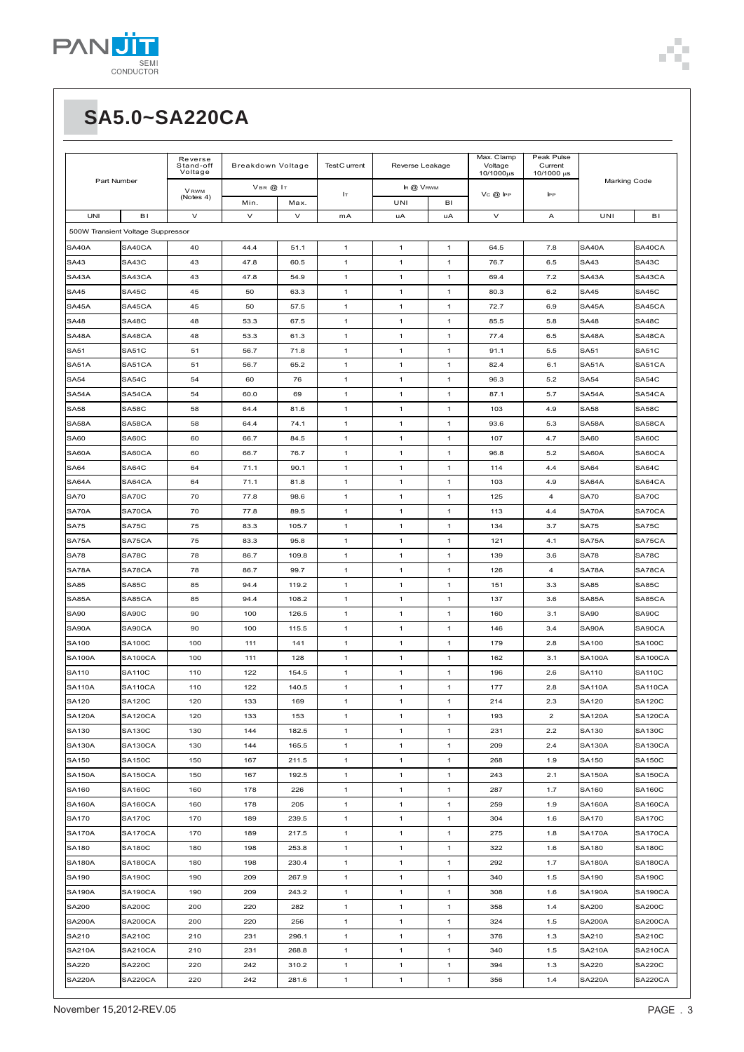| Part Number                       |                | Reverse<br>Stand-off<br>Voltage |          | Breakdown Voltage<br>Test C urrent |              | Reverse Leakage |              | Max. Clamp<br>Voltage<br>10/1000µs | Peak Pulse<br>Current<br>10/1000 µs |               |                |
|-----------------------------------|----------------|---------------------------------|----------|------------------------------------|--------------|-----------------|--------------|------------------------------------|-------------------------------------|---------------|----------------|
|                                   |                | <b>VRWM</b>                     | VBR @ IT |                                    |              | IR @ VRWM       |              |                                    |                                     | Marking Code  |                |
|                                   |                | (Notes 4)                       | Min.     | Max.                               | Iт           | UNI             | BI           | $VC$ $@$ $FP$                      | <b>IPP</b>                          |               |                |
| <b>UNI</b>                        | BI             | $\vee$                          | $\vee$   | $\vee$                             | mA           | uA              | uA           | $\vee$                             | Α                                   | UNI           | B1             |
| 500W Transient Voltage Suppressor |                |                                 |          |                                    |              |                 |              |                                    |                                     |               |                |
| SA40A                             | SA40CA         | 40                              | 44.4     | 51.1                               | $\mathbf{1}$ | 1               | $\mathbf{1}$ | 64.5                               | 7.8                                 | SA40A         | SA40CA         |
| SA43                              | SA43C          | 43                              | 47.8     | 60.5                               | $\mathbf{1}$ | 1               | $\mathbf{1}$ | 76.7                               | 6.5                                 | SA43          | SA43C          |
| SA43A                             | SA43CA         | 43                              | 47.8     | 54.9                               | $\mathbf{1}$ | 1               | $\mathbf{1}$ | 69.4                               | 7.2                                 | SA43A         | SA43CA         |
| <b>SA45</b>                       | SA45C          | 45                              | 50       | 63.3                               | $\mathbf{1}$ | 1               | 1            | 80.3                               | 6.2                                 | <b>SA45</b>   | SA45C          |
| SA45A                             | SA45CA         | 45                              | 50       | 57.5                               | $\mathbf{1}$ | 1               | 1            | 72.7                               | 6.9                                 | SA45A         | SA45CA         |
| <b>SA48</b>                       | SA48C          | 48                              | 53.3     | 67.5                               | $\mathbf{1}$ | 1               | 1            | 85.5                               | 5.8                                 | <b>SA48</b>   | SA48C          |
| SA48A                             | SA48CA         | 48                              | 53.3     | 61.3                               | $\mathbf{1}$ | 1               | $\mathbf{1}$ | 77.4                               | 6.5                                 | SA48A         | SA48CA         |
| <b>SA51</b>                       | SA51C          | 51                              | 56.7     | 71.8                               | $\mathbf{1}$ | 1               | $\mathbf{1}$ | 91.1                               | 5.5                                 | <b>SA51</b>   | <b>SA51C</b>   |
| SA51A                             | SA51CA         | 51                              | 56.7     | 65.2                               | $\mathbf{1}$ | 1               | 1            | 82.4                               | 6.1                                 | SA51A         | SA51CA         |
| <b>SA54</b>                       | SA54C          | 54                              | 60       | 76                                 | $\mathbf{1}$ | 1               | $\mathbf{1}$ | 96.3                               | 5.2                                 | <b>SA54</b>   | SA54C          |
| SA54A                             | SA54CA         | 54                              | 60.0     | 69                                 | $\mathbf{1}$ | 1               | $\mathbf{1}$ | 87.1                               | 5.7                                 | SA54A         | SA54CA         |
| <b>SA58</b>                       | SA58C          | 58                              | 64.4     | 81.6                               | $\mathbf{1}$ | 1               | $\mathbf{1}$ | 103                                | 4.9                                 | <b>SA58</b>   | SA58C          |
| SA58A                             | SA58CA         | 58                              | 64.4     | 74.1                               | $\mathbf{1}$ | 1               | $\mathbf{1}$ | 93.6                               | 5.3                                 | SA58A         | SA58CA         |
| <b>SA60</b>                       | SA60C          | 60                              | 66.7     | 84.5                               | $\mathbf{1}$ | 1               | $\mathbf{1}$ | 107                                | 4.7                                 | <b>SA60</b>   | SA60C          |
| SA60A                             | SA60CA         | 60                              | 66.7     | 76.7                               | $\mathbf{1}$ | 1               | 1            | 96.8                               | 5.2                                 | SA60A         | SA60CA         |
| <b>SA64</b>                       | SA64C          | 64                              | 71.1     | 90.1                               | $\mathbf{1}$ | 1               | 1            | 114                                | 4.4                                 | <b>SA64</b>   | SA64C          |
| SA64A                             | SA64CA         | 64                              | 71.1     | 81.8                               | $\mathbf{1}$ | 1               | $\mathbf{1}$ | 103                                | 4.9                                 | SA64A         | SA64CA         |
| <b>SA70</b>                       | SA70C          | 70                              | 77.8     | 98.6                               | $\mathbf{1}$ | 1               | $\mathbf{1}$ | 125                                | 4                                   | <b>SA70</b>   | SA70C          |
| SA70A                             | SA70CA         | 70                              | 77.8     | 89.5                               | $\mathbf{1}$ | 1               | $\mathbf{1}$ | 113                                | 4.4                                 | SA70A         | SA70CA         |
| <b>SA75</b>                       | SA75C          | 75                              | 83.3     | 105.7                              | $\mathbf{1}$ | 1               | 1            | 134                                | 3.7                                 | <b>SA75</b>   | SA75C          |
|                                   |                |                                 |          |                                    |              |                 |              |                                    |                                     |               |                |
| SA75A                             | SA75CA         | 75                              | 83.3     | 95.8                               | $\mathbf{1}$ | 1               | $\mathbf{1}$ | 121                                | 4.1                                 | SA75A         | SA75CA         |
| <b>SA78</b>                       | SA78C          | 78                              | 86.7     | 109.8                              | $\mathbf{1}$ | 1               | $\mathbf{1}$ | 139                                | 3.6                                 | <b>SA78</b>   | SA78C          |
| SA78A                             | SA78CA         | 78                              | 86.7     | 99.7                               | $\mathbf{1}$ | 1               | $\mathbf{1}$ | 126                                | 4                                   | SA78A         | SA78CA         |
| SA85                              | SA85C          | 85                              | 94.4     | 119.2                              | $\mathbf{1}$ | 1               | $\mathbf{1}$ | 151                                | 3.3                                 | SA85          | SA85C          |
| SA85A                             | SA85CA         | 85                              | 94.4     | 108.2                              | $\mathbf{1}$ | 1               | $\mathbf{1}$ | 137                                | 3.6                                 | SA85A         | SA85CA         |
| <b>SA90</b>                       | SA90C          | 90                              | 100      | 126.5                              | $\mathbf{1}$ | 1               | 1            | 160                                | 3.1                                 | SA90          | SA90C          |
| SA90A                             | SA90CA         | 90                              | 100      | 115.5                              | $\mathbf{1}$ | 1               | 1            | 146                                | 3.4                                 | SA90A         | SA90CA         |
| SA100                             | <b>SA100C</b>  | 100                             | 111      | 141                                | $\mathbf{1}$ | 1               | $\mathbf{1}$ | 179                                | 2.8                                 | SA100         | <b>SA100C</b>  |
| <b>SA100A</b>                     | <b>SA100CA</b> | 100                             | 111      | 128                                | $\mathbf{1}$ | 1               | $\mathbf{1}$ | 162                                | 3.1                                 | <b>SA100A</b> | <b>SA100CA</b> |
| <b>SA110</b>                      | <b>SA110C</b>  | 110                             | 122      | 154.5                              | $\mathbf{1}$ | 1               | $\mathbf{1}$ | 196                                | 2.6                                 | <b>SA110</b>  | <b>SA110C</b>  |
| <b>SA110A</b>                     | SA110CA        | 110                             | 122      | 140.5                              | $\mathbf{1}$ | 1               | 1            | 177                                | 2.8                                 | <b>SA110A</b> | SA110CA        |
| SA120                             | <b>SA120C</b>  | 120                             | 133      | 169                                | $\mathbf{1}$ | 1               | $\mathbf{1}$ | 214                                | 2.3                                 | <b>SA120</b>  | <b>SA120C</b>  |
| <b>SA120A</b>                     | SA120CA        | 120                             | 133      | 153                                | $\mathbf{1}$ | 1               | 1            | 193                                | $\overline{\mathbf{c}}$             | <b>SA120A</b> | <b>SA120CA</b> |
| SA130                             | <b>SA130C</b>  | 130                             | 144      | 182.5                              | $\mathbf{1}$ | 1               | 1            | 231                                | 2.2                                 | SA130         | <b>SA130C</b>  |
| <b>SA130A</b>                     | SA130CA        | 130                             | 144      | 165.5                              | $\mathbf{1}$ | 1               | 1            | 209                                | 2.4                                 | <b>SA130A</b> | <b>SA130CA</b> |
| SA150                             | <b>SA150C</b>  | 150                             | 167      | 211.5                              | $\mathbf{1}$ | 1               | $\mathbf{1}$ | 268                                | 1.9                                 | SA150         | <b>SA150C</b>  |
| <b>SA150A</b>                     | SA150CA        | 150                             | 167      | 192.5                              | $\mathbf{1}$ | 1               | 1            | 243                                | 2.1                                 | <b>SA150A</b> | <b>SA150CA</b> |
| SA160                             | <b>SA160C</b>  | 160                             | 178      | 226                                | $\mathbf{1}$ | 1               | 1            | 287                                | 1.7                                 | SA160         | <b>SA160C</b>  |
| <b>SA160A</b>                     | <b>SA160CA</b> | 160                             | 178      | 205                                | $\mathbf{1}$ | 1               | $\mathbf{1}$ | 259                                | 1.9                                 | <b>SA160A</b> | <b>SA160CA</b> |
| <b>SA170</b>                      | <b>SA170C</b>  | 170                             | 189      | 239.5                              | $\mathbf{1}$ | 1               | $\mathbf{1}$ | 304                                | 1.6                                 | <b>SA170</b>  | <b>SA170C</b>  |
| <b>SA170A</b>                     | SA170CA        | 170                             | 189      | 217.5                              | $\mathbf{1}$ | 1               | $\mathbf{1}$ | 275                                | 1.8                                 | <b>SA170A</b> | <b>SA170CA</b> |
| SA180                             | <b>SA180C</b>  | 180                             | 198      | 253.8                              | $\mathbf{1}$ | 1               | $\mathbf{1}$ | 322                                | 1.6                                 | <b>SA180</b>  | <b>SA180C</b>  |
| <b>SA180A</b>                     | SA180CA        | 180                             | 198      | 230.4                              | $\mathbf{1}$ | 1               | $\mathbf{1}$ | 292                                | 1.7                                 | <b>SA180A</b> | <b>SA180CA</b> |
| SA190                             | <b>SA190C</b>  | 190                             | 209      | 267.9                              | $\mathbf{1}$ | 1               | $\mathbf{1}$ | 340                                | 1.5                                 | SA190         | <b>SA190C</b>  |
| <b>SA190A</b>                     | <b>SA190CA</b> | 190                             | 209      | 243.2                              | $\mathbf{1}$ | $\mathbf{1}$    | $\mathbf{1}$ | 308                                | 1.6                                 | <b>SA190A</b> | <b>SA190CA</b> |
| SA200                             | <b>SA200C</b>  | 200                             | 220      | 282                                | $\mathbf{1}$ | $\mathbf{1}$    | $\mathbf{1}$ | 358                                | 1.4                                 | SA200         | <b>SA200C</b>  |
| <b>SA200A</b>                     | SA200CA        | 200                             | 220      | 256                                | $\mathbf{1}$ | 1               | 1            | 324                                | 1.5                                 | <b>SA200A</b> | SA200CA        |
| SA210                             | SA210C         | 210                             | 231      | 296.1                              | $\mathbf{1}$ | 1               | 1            | 376                                | 1.3                                 | SA210         | SA210C         |
| <b>SA210A</b>                     | <b>SA210CA</b> | 210                             | 231      | 268.8                              | $\mathbf{1}$ | 1               | $\mathbf{1}$ | 340                                | 1.5                                 | <b>SA210A</b> | <b>SA210CA</b> |
| SA220                             | <b>SA220C</b>  | 220                             | 242      | 310.2                              | $\mathbf{1}$ | 1               | $\mathbf{1}$ | 394                                | 1.3                                 | SA220         | <b>SA220C</b>  |
| <b>SA220A</b>                     | SA220CA        | 220                             | 242      | 281.6                              | $\mathbf{1}$ | 1               | $\mathbf{1}$ | 356                                | 1.4                                 | <b>SA220A</b> | SA220CA        |

٠ Î.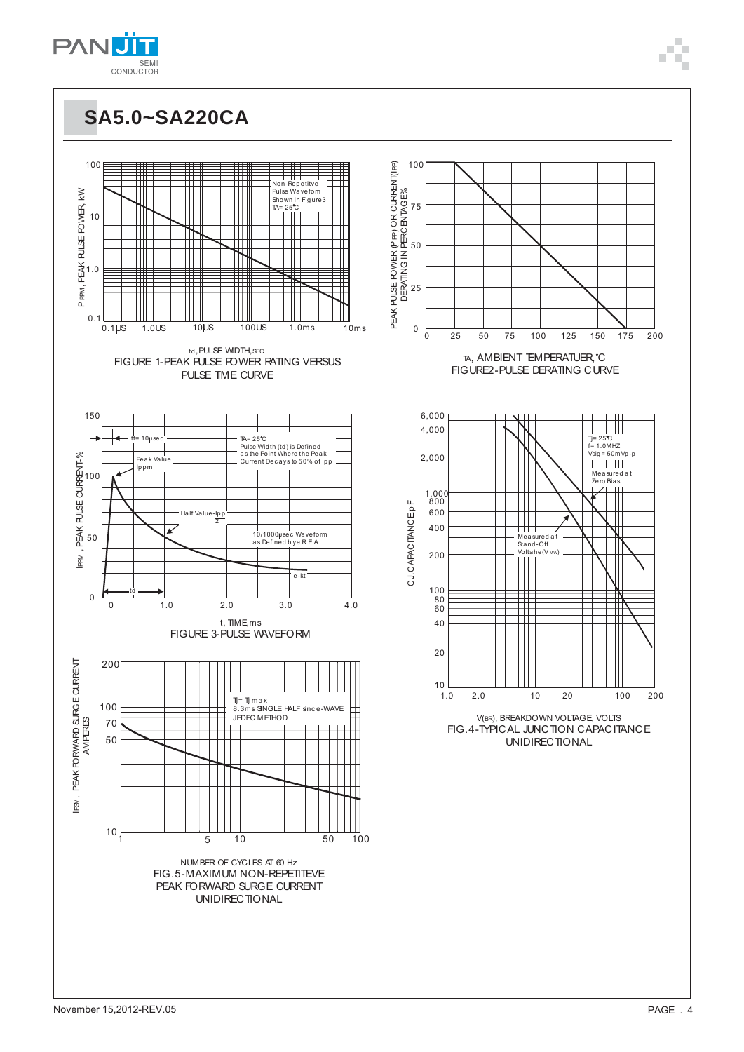







TA, AMBIENT EMPERATUER °C

150

175

200



V(BR), BREAKDOWN VOLTAGE, VOLTS FIG.4-TYPICAL JUNCTION CAPACITANCE UNIDIRECTIONAL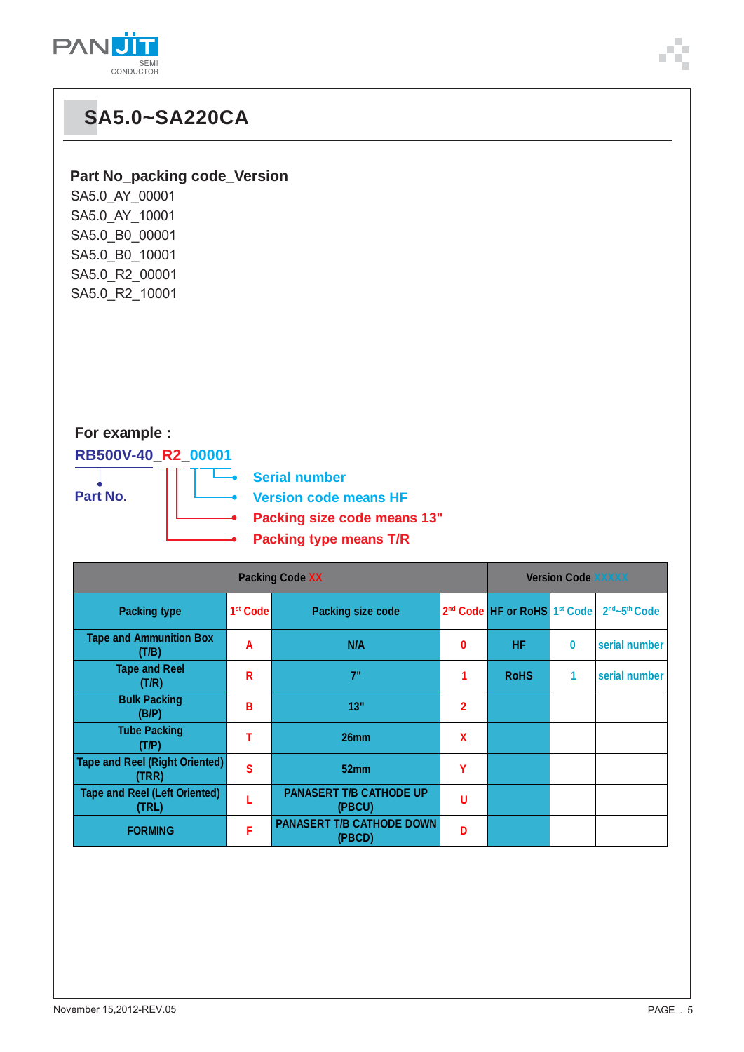

### **Part No\_packing code\_Version**

| SA5.0_AY_00001 |
|----------------|
| SA5.0_AY_10001 |
| SA5.0 B0 00001 |
| SA5.0_B0 10001 |
| SA5.0 R2 00001 |
| SA5.0_R2_10001 |

### **For example :**

### **RB500V-40\_R2\_00001**





|                                                | <b>Version Code XXXXX</b> |                                            |                |                                                      |          |                                       |
|------------------------------------------------|---------------------------|--------------------------------------------|----------------|------------------------------------------------------|----------|---------------------------------------|
| <b>Packing type</b>                            | 1 <sup>st</sup> Code      | <b>Packing size code</b>                   |                | 2 <sup>nd</sup> Code HF or RoHS 1 <sup>st</sup> Code |          | 2 <sup>nd</sup> ~5 <sup>th</sup> Code |
| <b>Tape and Ammunition Box</b><br>(T/B)        | A                         | N/A                                        | 0              | HF                                                   | $\bf{0}$ | serial number                         |
| <b>Tape and Reel</b><br>(T/R)                  | R                         | 7"                                         |                | <b>RoHS</b>                                          | 1        | serial number                         |
| <b>Bulk Packing</b><br>(B/P)                   | В                         | 13"                                        | $\overline{2}$ |                                                      |          |                                       |
| <b>Tube Packing</b><br>(T/P)                   | т                         | 26mm                                       | $\mathbf x$    |                                                      |          |                                       |
| <b>Tape and Reel (Right Oriented)</b><br>(TRR) | S                         | 52 <sub>mm</sub>                           | Υ              |                                                      |          |                                       |
| <b>Tape and Reel (Left Oriented)</b><br>(TRL)  |                           | <b>PANASERT T/B CATHODE UP</b><br>(PBCU)   | U              |                                                      |          |                                       |
| <b>FORMING</b>                                 | F                         | <b>PANASERT T/B CATHODE DOWN</b><br>(PBCD) | D              |                                                      |          |                                       |